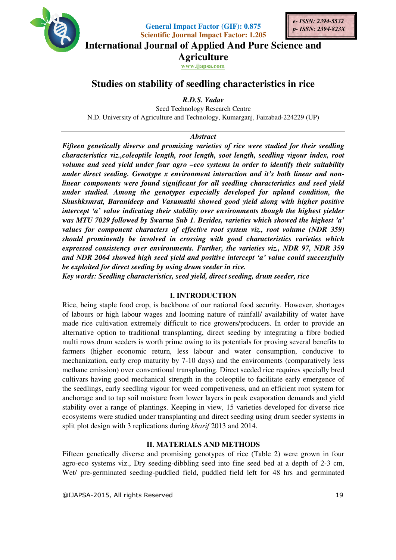

**General Impact Factor (GIF): 0.875** 



**Scientific Journal Impact Factor: 1.205 International Journal of Applied And Pure Science and** 

**Agriculture**

**www.ijapsa.com** 

# **Studies on stability of seedling characteristics in rice**

*R.D.S. Yadav* 

Seed Technology Research Centre N.D. University of Agriculture and Technology, Kumarganj, Faizabad-224229 (UP)

## *Abstract*

*Fifteen genetically diverse and promising varieties of rice were studied for their seedling characteristics viz.,coleoptile length, root length, soot length, seedling vigour index, root volume and seed yield under four agro –eco systems in order to identify their suitability under direct seeding. Genotype x environment interaction and it's both linear and nonlinear components were found significant for all seedling characteristics and seed yield under studied. Among the genotypes especially developed for upland condition, the Shushksmrat, Baranideep and Vasumathi showed good yield along with higher positive intercept 'a' value indicating their stability over environments though the highest yielder was MTU 7029 followed by Swarna Sub 1. Besides, varieties which showed the highest 'a' values for component characters of effective root system viz., root volume (NDR 359) should prominently be involved in crossing with good characteristics varieties which expressed consistency over environments. Further, the varieties viz., NDR 97, NDR 359 and NDR 2064 showed high seed yield and positive intercept 'a' value could successfully be exploited for direct seeding by using drum seeder in rice.* 

*Key words: Seedling characteristics, seed yield, direct seeding, drum seeder, rice* 

# **I. INTRODUCTION**

Rice, being staple food crop, is backbone of our national food security. However, shortages of labours or high labour wages and looming nature of rainfall/ availability of water have made rice cultivation extremely difficult to rice growers/producers. In order to provide an alternative option to traditional transplanting, direct seeding by integrating a fibre bodied multi rows drum seeders is worth prime owing to its potentials for proving several benefits to farmers (higher economic return, less labour and water consumption, conducive to mechanization, early crop maturity by 7-10 days) and the environments (comparatively less methane emission) over conventional transplanting. Direct seeded rice requires specially bred cultivars having good mechanical strength in the coleoptile to facilitate early emergence of the seedlings, early seedling vigour for weed competiveness, and an efficient root system for anchorage and to tap soil moisture from lower layers in peak evaporation demands and yield stability over a range of plantings. Keeping in view, 15 varieties developed for diverse rice ecosystems were studied under transplanting and direct seeding using drum seeder systems in split plot design with 3 replications during *kharif* 2013 and 2014.

# **II. MATERIALS AND METHODS**

Fifteen genetically diverse and promising genotypes of rice (Table 2) were grown in four agro-eco systems viz., Dry seeding-dibbling seed into fine seed bed at a depth of 2-3 cm, Wet/ pre-germinated seeding-puddled field, puddled field left for 48 hrs and germinated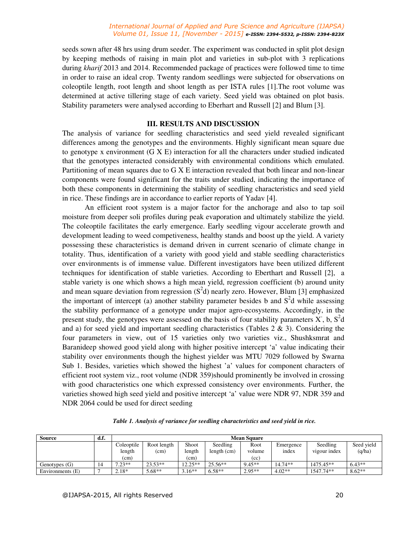#### *International Journal of Applied and Pure Science and Agriculture (IJAPSA) Volume 01, Issue 11, [November - 2015] e-ISSN: 2394-5532, p-ISSN: 2394-823X*

seeds sown after 48 hrs using drum seeder. The experiment was conducted in split plot design by keeping methods of raising in main plot and varieties in sub-plot with 3 replications during *kharif* 2013 and 2014. Recommended package of practices were followed time to time in order to raise an ideal crop. Twenty random seedlings were subjected for observations on coleoptile length, root length and shoot length as per ISTA rules [1].The root volume was determined at active tillering stage of each variety. Seed yield was obtained on plot basis. Stability parameters were analysed according to Eberhart and Russell [2] and Blum [3].

### **III. RESULTS AND DISCUSSION**

The analysis of variance for seedling characteristics and seed yield revealed significant differences among the genotypes and the environments. Highly significant mean square due to genotype x environment (G X E) interaction for all the characters under studied indicated that the genotypes interacted considerably with environmental conditions which emulated. Partitioning of mean squares due to G X E interaction revealed that both linear and non-linear components were found significant for the traits under studied, indicating the importance of both these components in determining the stability of seedling characteristics and seed yield in rice. These findings are in accordance to earlier reports of Yadav [4].

An efficient root system is a major factor for the anchorage and also to tap soil moisture from deeper soli profiles during peak evaporation and ultimately stabilize the yield. The coleoptile facilitates the early emergence. Early seedling vigour accelerate growth and development leading to weed competiveness, healthy stands and boost up the yield. A variety possessing these characteristics is demand driven in current scenario of climate change in totality. Thus, identification of a variety with good yield and stable seedling characteristics over environments is of immense value. Different investigators have been utilized different techniques for identification of stable varieties. According to Eberthart and Russell [2], a stable variety is one which shows a high mean yield, regression coefficient (b) around unity and mean square deviation from regression  $(S^2d)$  nearly zero. However, Blum [3] emphasized the important of intercept (a) another stability parameter besides b and  $S<sup>2</sup>d$  while assessing the stability performance of a genotype under major agro-ecosystems. Accordingly, in the present study, the genotypes were assessed on the basis of four stability parameters  $X$ , b,  $S^2$ d and a) for seed yield and important seedling characteristics (Tables  $2 \& 3$ ). Considering the four parameters in view, out of 15 varieties only two varieties viz., Shushksmrat and Baranideep showed good yield along with higher positive intercept 'a' value indicating their stability over environments though the highest yielder was MTU 7029 followed by Swarna Sub 1. Besides, varieties which showed the highest 'a' values for component characters of efficient root system viz., root volume (NDR 359)should prominently be involved in crossing with good characteristics one which expressed consistency over environments. Further, the varieties showed high seed yield and positive intercept 'a' value were NDR 97, NDR 359 and NDR 2064 could be used for direct seeding

| <b>Source</b>    | d.f.          | <b>Mean Square</b> |             |           |               |          |           |              |            |  |  |
|------------------|---------------|--------------------|-------------|-----------|---------------|----------|-----------|--------------|------------|--|--|
|                  |               | Coleoptile         | Root length | Shoot     | Seedling      | Root     | Emergence | Seedling     | Seed yield |  |  |
|                  |               | length             | (cm)        | length    | length $(cm)$ | volume   | index     | vigour index | (q/ha)     |  |  |
|                  |               | (cm)               |             | (cm)      |               | (cc)     |           |              |            |  |  |
| Genotypes $(G)$  | $\mathbf{14}$ | $7.23**$           | $23.53**$   | $12.25**$ | $25.56**$     | $9.45**$ | $14.74**$ | 1475.45**    | $6.43**$   |  |  |
| Environments (E) |               | $2.18*$            | $5.68**$    | $3.16**$  | $6.58**$      | $2.95**$ | $4.02**$  | 1547.74**    | $8.62**$   |  |  |

*Table 1. Analysis of variance for seedling characteristics and seed yield in rice.*

@IJAPSA-2015, All rights Reserved 20